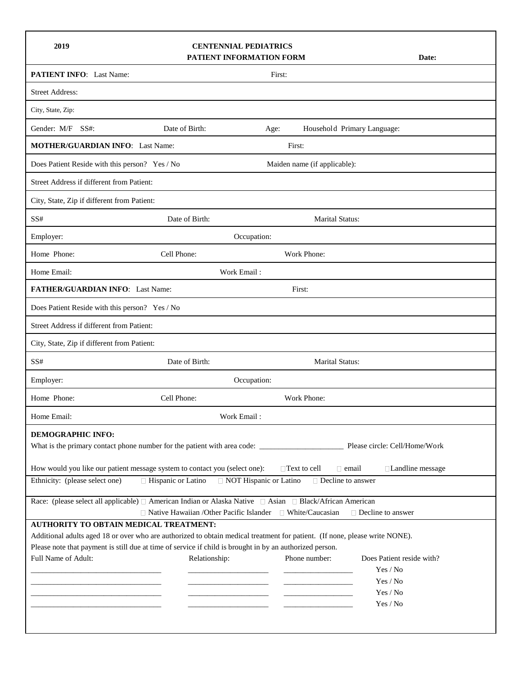| 2019                                                                                                                                                                                                          | <b>CENTENNIAL PEDIATRICS</b><br>PATIENT INFORMATION FORM | Date:       |                                                                                                                       |                   |  |  |
|---------------------------------------------------------------------------------------------------------------------------------------------------------------------------------------------------------------|----------------------------------------------------------|-------------|-----------------------------------------------------------------------------------------------------------------------|-------------------|--|--|
| <b>PATIENT INFO:</b> Last Name:                                                                                                                                                                               |                                                          | First:      |                                                                                                                       |                   |  |  |
| <b>Street Address:</b>                                                                                                                                                                                        |                                                          |             |                                                                                                                       |                   |  |  |
| City, State, Zip:                                                                                                                                                                                             |                                                          |             |                                                                                                                       |                   |  |  |
| Gender: M/F<br>SS#:                                                                                                                                                                                           | Date of Birth:                                           | Age:        | Household Primary Language:                                                                                           |                   |  |  |
| <b>MOTHER/GUARDIAN INFO:</b> Last Name:<br>First:                                                                                                                                                             |                                                          |             |                                                                                                                       |                   |  |  |
| Does Patient Reside with this person? Yes / No<br>Maiden name (if applicable):                                                                                                                                |                                                          |             |                                                                                                                       |                   |  |  |
| Street Address if different from Patient:                                                                                                                                                                     |                                                          |             |                                                                                                                       |                   |  |  |
| City, State, Zip if different from Patient:                                                                                                                                                                   |                                                          |             |                                                                                                                       |                   |  |  |
| SS#                                                                                                                                                                                                           | Date of Birth:                                           |             | <b>Marital Status:</b>                                                                                                |                   |  |  |
| Employer:<br>Occupation:                                                                                                                                                                                      |                                                          |             |                                                                                                                       |                   |  |  |
| Home Phone:                                                                                                                                                                                                   | Cell Phone:                                              |             | Work Phone:                                                                                                           |                   |  |  |
| Home Email:                                                                                                                                                                                                   | Work Email:                                              |             |                                                                                                                       |                   |  |  |
| FATHER/GUARDIAN INFO: Last Name:<br>First:                                                                                                                                                                    |                                                          |             |                                                                                                                       |                   |  |  |
| Does Patient Reside with this person? Yes / No                                                                                                                                                                |                                                          |             |                                                                                                                       |                   |  |  |
| Street Address if different from Patient:                                                                                                                                                                     |                                                          |             |                                                                                                                       |                   |  |  |
| City, State, Zip if different from Patient:                                                                                                                                                                   |                                                          |             |                                                                                                                       |                   |  |  |
| SS#                                                                                                                                                                                                           | Date of Birth:                                           |             | Marital Status:                                                                                                       |                   |  |  |
| Employer:                                                                                                                                                                                                     | Occupation:                                              |             |                                                                                                                       |                   |  |  |
| Home Phone:                                                                                                                                                                                                   | Cell Phone:                                              |             | Work Phone:                                                                                                           |                   |  |  |
| Home Email:                                                                                                                                                                                                   |                                                          | Work Email: |                                                                                                                       |                   |  |  |
| <b>DEMOGRAPHIC INFO:</b>                                                                                                                                                                                      |                                                          |             |                                                                                                                       |                   |  |  |
|                                                                                                                                                                                                               |                                                          |             |                                                                                                                       |                   |  |  |
| How would you like our patient message system to contact you (select one):                                                                                                                                    |                                                          |             | $\Box$ Text to cell<br>$\Box$ email                                                                                   | □Landline message |  |  |
| Ethnicity: (please select one)<br>□ Hispanic or Latino<br>□ NOT Hispanic or Latino<br>□ Decline to answer                                                                                                     |                                                          |             |                                                                                                                       |                   |  |  |
| Race: (please select all applicable) □ American Indian or Alaska Native □ Asian □ Black/African American<br>$\Box$ Native Hawaiian /Other Pacific Islander $\Box$ White/Caucasian<br>$\Box$ Decline to answer |                                                          |             |                                                                                                                       |                   |  |  |
| AUTHORITY TO OBTAIN MEDICAL TREATMENT:                                                                                                                                                                        |                                                          |             |                                                                                                                       |                   |  |  |
| Additional adults aged 18 or over who are authorized to obtain medical treatment for patient. (If none, please write NONE).                                                                                   |                                                          |             |                                                                                                                       |                   |  |  |
| Please note that payment is still due at time of service if child is brought in by an authorized person.<br>Full Name of Adult:<br>Phone number:<br>Does Patient reside with?<br>Relationship:                |                                                          |             |                                                                                                                       |                   |  |  |
|                                                                                                                                                                                                               |                                                          |             |                                                                                                                       | Yes / No          |  |  |
|                                                                                                                                                                                                               |                                                          |             | the control of the control of the control of                                                                          | Yes / No          |  |  |
|                                                                                                                                                                                                               |                                                          |             | <u> 1989 - John Harry Harry Harry Harry Harry Harry Harry Harry Harry Harry Harry Harry Harry Harry Harry Harry H</u> | Yes / No          |  |  |
|                                                                                                                                                                                                               |                                                          |             |                                                                                                                       | Yes / No          |  |  |
|                                                                                                                                                                                                               |                                                          |             |                                                                                                                       |                   |  |  |
|                                                                                                                                                                                                               |                                                          |             |                                                                                                                       |                   |  |  |

 $\mathsf{r}$ 

 $\mathbf{r}$